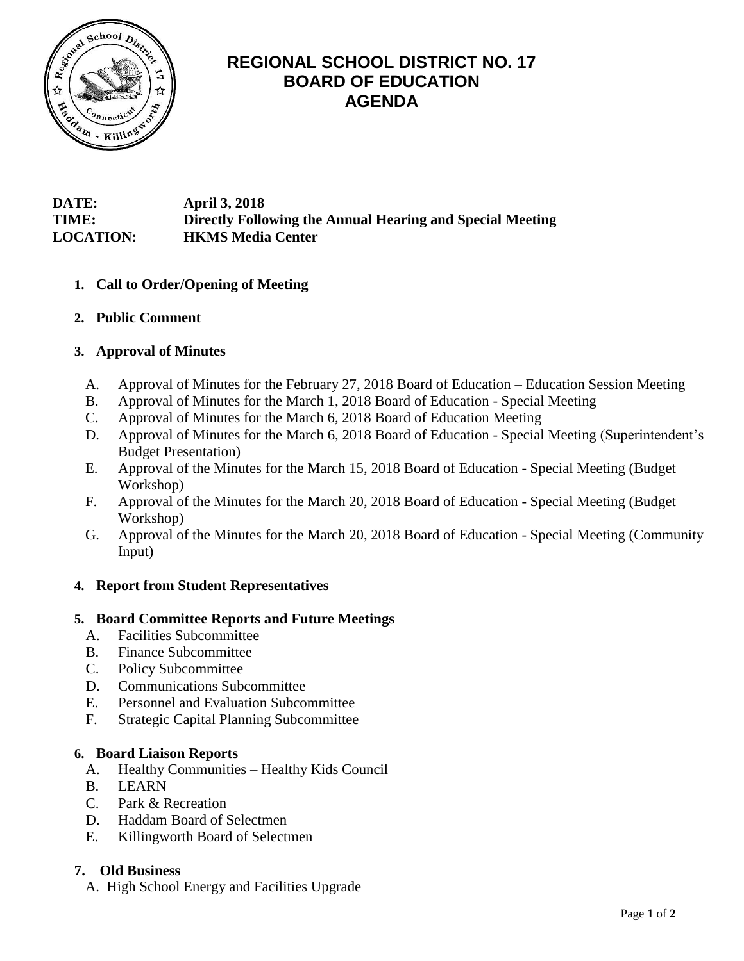

# **REGIONAL SCHOOL DISTRICT NO. 17 BOARD OF EDUCATION AGENDA**

# **DATE: April 3, 2018 TIME: Directly Following the Annual Hearing and Special Meeting LOCATION: HKMS Media Center**

# **1. Call to Order/Opening of Meeting**

**2. Public Comment**

# **3. Approval of Minutes**

- A. Approval of Minutes for the February 27, 2018 Board of Education Education Session Meeting
- B. Approval of Minutes for the March 1, 2018 Board of Education Special Meeting
- C. Approval of Minutes for the March 6, 2018 Board of Education Meeting
- D. Approval of Minutes for the March 6, 2018 Board of Education Special Meeting (Superintendent's Budget Presentation)
- E. Approval of the Minutes for the March 15, 2018 Board of Education Special Meeting (Budget Workshop)
- F. Approval of the Minutes for the March 20, 2018 Board of Education Special Meeting (Budget Workshop)
- G. Approval of the Minutes for the March 20, 2018 Board of Education Special Meeting (Community Input)

# **4. Report from Student Representatives**

# **5. Board Committee Reports and Future Meetings**

- A. Facilities Subcommittee
- B. Finance Subcommittee
- C. Policy Subcommittee
- D. Communications Subcommittee
- E. Personnel and Evaluation Subcommittee
- F. Strategic Capital Planning Subcommittee

#### **6. Board Liaison Reports**

- A. Healthy Communities Healthy Kids Council
- B. LEARN
- C. Park & Recreation
- D. Haddam Board of Selectmen
- E. Killingworth Board of Selectmen

# **7. Old Business**

A.High School Energy and Facilities Upgrade